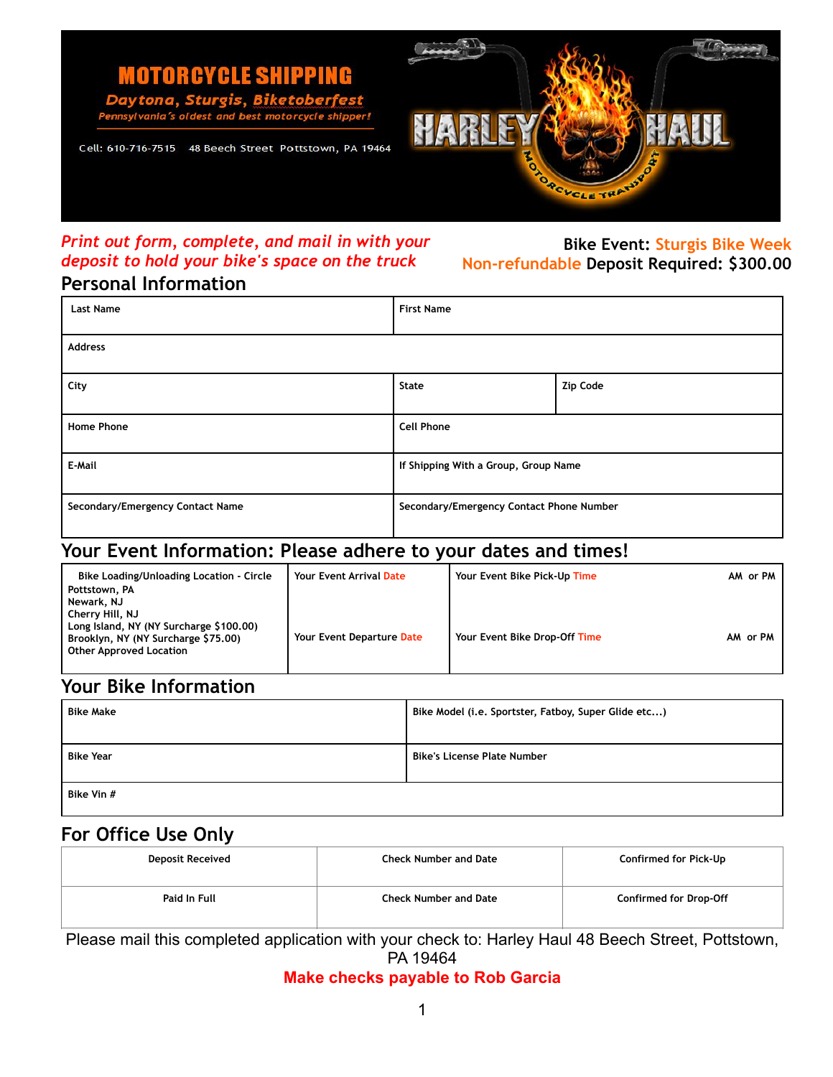

# *Print out form, complete, and mail in with your deposit to hold your bike's space on the truck*

## **Bike Event: Sturgis Bike Week Non-refundable Deposit Required: \$300.00**

## **Personal Information**

| <b>Last Name</b>                 | <b>First Name</b>                        |          |  |  |
|----------------------------------|------------------------------------------|----------|--|--|
| <b>Address</b>                   |                                          |          |  |  |
| City                             | State                                    | Zip Code |  |  |
| <b>Home Phone</b>                | <b>Cell Phone</b>                        |          |  |  |
| E-Mail                           | If Shipping With a Group, Group Name     |          |  |  |
| Secondary/Emergency Contact Name | Secondary/Emergency Contact Phone Number |          |  |  |

## **Your Event Information: Please adhere to your dates and times!**

| Bike Loading/Unloading Location - Circle<br>Pottstown, PA<br>Newark, NJ                                                             | <b>Your Event Arrival Date</b> | Your Event Bike Pick-Up Time  | AM or PM |
|-------------------------------------------------------------------------------------------------------------------------------------|--------------------------------|-------------------------------|----------|
| Cherry Hill, NJ<br>Long Island, NY (NY Surcharge \$100.00)<br>Brooklyn, NY (NY Surcharge \$75.00)<br><b>Other Approved Location</b> | Your Event Departure Date      | Your Event Bike Drop-Off Time | AM or PM |

## **Your Bike Information**

| <b>Bike Make</b> | Bike Model (i.e. Sportster, Fatboy, Super Glide etc) |  |
|------------------|------------------------------------------------------|--|
| <b>Bike Year</b> | <b>Bike's License Plate Number</b>                   |  |
| Bike Vin #       |                                                      |  |

## **For Office Use Only**

| <b>Deposit Received</b> | <b>Check Number and Date</b> | Confirmed for Pick-Up         |
|-------------------------|------------------------------|-------------------------------|
| Paid In Full            | <b>Check Number and Date</b> | <b>Confirmed for Drop-Off</b> |

Please mail this completed application with your check to: Harley Haul 48 Beech Street, Pottstown, PA 19464

**Make checks payable to Rob Garcia**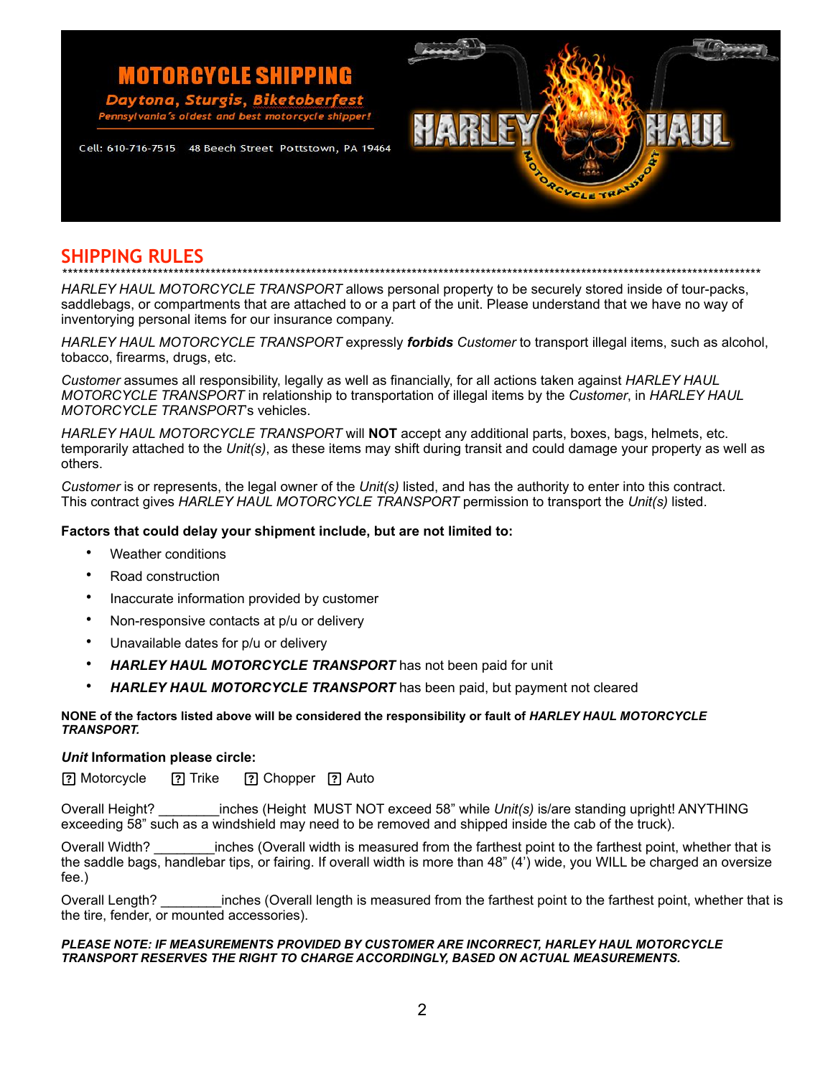#### **MOTORCYCLE SHIPPING** ona. Sturgis. ania's ole best motorcycle sh

Cell: 610-716-7515 48 Beech Street Pottstown, PA 19464



**SHIPPING RULES** *\*\*\*\*\*\*\*\*\*\*\*\*\*\*\*\*\*\*\*\*\*\*\*\*\*\*\*\*\*\*\*\*\*\*\*\*\*\*\*\*\*\*\*\*\*\*\*\*\*\*\*\*\*\*\*\*\*\*\*\*\*\*\*\*\*\*\*\*\*\*\*\*\*\*\*\*\*\*\*\*\*\*\*\*\*\*\*\*\*\*\*\*\*\*\*\*\*\*\*\*\*\*\*\*\*\*\*\*\*\*\*\*\*\*\*\*\*\*\*\*\*\*\*\*\*\*\*\*\*\*\*\** 

*HARLEY HAUL MOTORCYCLE TRANSPORT* allows personal property to be securely stored inside of tour-packs, saddlebags, or compartments that are attached to or a part of the unit. Please understand that we have no way of inventorying personal items for our insurance company.

*HARLEY HAUL MOTORCYCLE TRANSPORT* expressly *forbids Customer* to transport illegal items, such as alcohol, tobacco, firearms, drugs, etc.

*Customer* assumes all responsibility, legally as well as financially, for all actions taken against *HARLEY HAUL MOTORCYCLE TRANSPORT* in relationship to transportation of illegal items by the *Customer*, in *HARLEY HAUL MOTORCYCLE TRANSPORT*'s vehicles.

*HARLEY HAUL MOTORCYCLE TRANSPORT* will **NOT** accept any additional parts, boxes, bags, helmets, etc. temporarily attached to the *Unit(s)*, as these items may shift during transit and could damage your property as well as others.

*Customer* is or represents, the legal owner of the *Unit(s)* listed, and has the authority to enter into this contract. This contract gives *HARLEY HAUL MOTORCYCLE TRANSPORT* permission to transport the *Unit(s)* listed.

### **Factors that could delay your shipment include, but are not limited to:**

- Weather conditions
- Road construction
- Inaccurate information provided by customer
- Non-responsive contacts at p/u or delivery
- Unavailable dates for p/u or delivery
- *HARLEY HAUL MOTORCYCLE TRANSPORT* has not been paid for unit
- *HARLEY HAUL MOTORCYCLE TRANSPORT* has been paid, but payment not cleared

### **NONE of the factors listed above will be considered the responsibility or fault of** *HARLEY HAUL MOTORCYCLE TRANSPORT.*

### *Unit* **Information please circle:**

? Motorcycle <sup>?</sup> Trike <sup>?</sup> Chopper ? Auto

Overall Height? \_\_\_\_\_\_\_\_inches (Height MUST NOT exceed 58" while *Unit(s)* is/are standing upright! ANYTHING exceeding 58" such as a windshield may need to be removed and shipped inside the cab of the truck).

Overall Width? \_\_\_\_\_\_\_\_inches (Overall width is measured from the farthest point to the farthest point, whether that is the saddle bags, handlebar tips, or fairing. If overall width is more than 48" (4') wide, you WILL be charged an oversize fee.)

Overall Length? \_\_\_\_\_\_\_\_inches (Overall length is measured from the farthest point to the farthest point, whether that is the tire, fender, or mounted accessories).

### *PLEASE NOTE: IF MEASUREMENTS PROVIDED BY CUSTOMER ARE INCORRECT, HARLEY HAUL MOTORCYCLE TRANSPORT RESERVES THE RIGHT TO CHARGE ACCORDINGLY, BASED ON ACTUAL MEASUREMENTS.*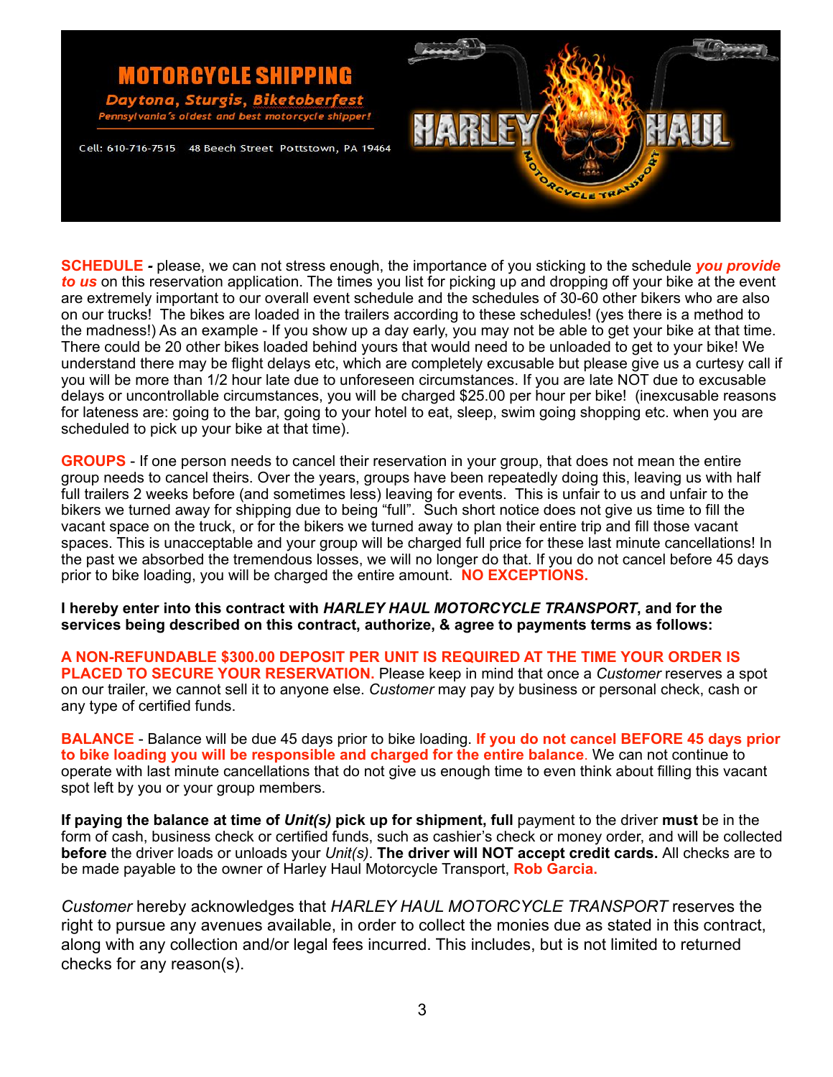

**SCHEDULE** *-* please, we can not stress enough, the importance of you sticking to the schedule *you provide to us* on this reservation application. The times you list for picking up and dropping off your bike at the event are extremely important to our overall event schedule and the schedules of 30-60 other bikers who are also on our trucks! The bikes are loaded in the trailers according to these schedules! (yes there is a method to the madness!) As an example - If you show up a day early, you may not be able to get your bike at that time. There could be 20 other bikes loaded behind yours that would need to be unloaded to get to your bike! We understand there may be flight delays etc, which are completely excusable but please give us a curtesy call if you will be more than 1/2 hour late due to unforeseen circumstances. If you are late NOT due to excusable delays or uncontrollable circumstances, you will be charged \$25.00 per hour per bike! (inexcusable reasons for lateness are: going to the bar, going to your hotel to eat, sleep, swim going shopping etc. when you are scheduled to pick up your bike at that time).

**GROUPS** - If one person needs to cancel their reservation in your group, that does not mean the entire group needs to cancel theirs. Over the years, groups have been repeatedly doing this, leaving us with half full trailers 2 weeks before (and sometimes less) leaving for events. This is unfair to us and unfair to the bikers we turned away for shipping due to being "full". Such short notice does not give us time to fill the vacant space on the truck, or for the bikers we turned away to plan their entire trip and fill those vacant spaces. This is unacceptable and your group will be charged full price for these last minute cancellations! In the past we absorbed the tremendous losses, we will no longer do that. If you do not cancel before 45 days prior to bike loading, you will be charged the entire amount. **NO EXCEPTIONS.**

**I hereby enter into this contract with** *HARLEY HAUL MOTORCYCLE TRANSPORT***, and for the services being described on this contract, authorize, & agree to payments terms as follows:** 

**A NON-REFUNDABLE \$300.00 DEPOSIT PER UNIT IS REQUIRED AT THE TIME YOUR ORDER IS PLACED TO SECURE YOUR RESERVATION.** Please keep in mind that once a *Customer* reserves a spot on our trailer, we cannot sell it to anyone else. *Customer* may pay by business or personal check, cash or any type of certified funds.

**BALANCE** - Balance will be due 45 days prior to bike loading. **If you do not cancel BEFORE 45 days prior to bike loading you will be responsible and charged for the entire balance**. We can not continue to operate with last minute cancellations that do not give us enough time to even think about filling this vacant spot left by you or your group members.

**If paying the balance at time of** *Unit(s)* **pick up for shipment, full** payment to the driver **must** be in the form of cash, business check or certified funds, such as cashier's check or money order, and will be collected **before** the driver loads or unloads your *Unit(s)*. **The driver will NOT accept credit cards.** All checks are to be made payable to the owner of Harley Haul Motorcycle Transport, **Rob Garcia.**

*Customer* hereby acknowledges that *HARLEY HAUL MOTORCYCLE TRANSPORT* reserves the right to pursue any avenues available, in order to collect the monies due as stated in this contract, along with any collection and/or legal fees incurred. This includes, but is not limited to returned checks for any reason(s).